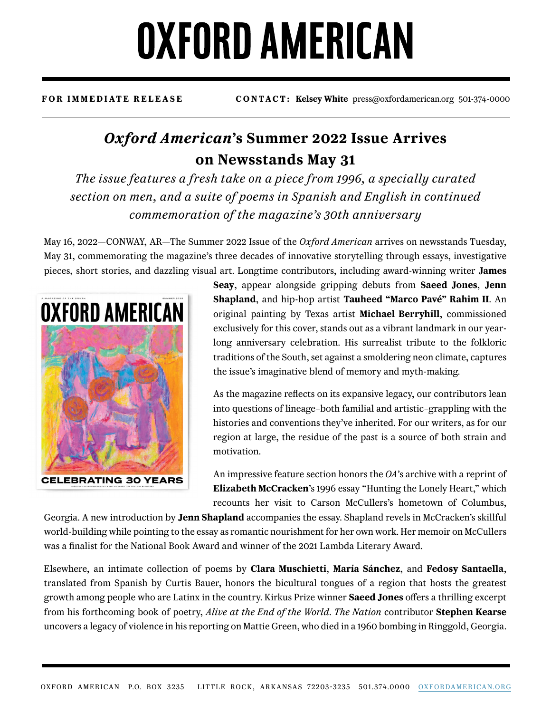## **OXFORD AMERICAN**

**FOR IMMEDIATE RELEASE CONTACT: Kelsey White** press@oxfordamerican.org 501-374-0000

## *Oxford American***'s Summer 2022 Issue Arrives on Newsstands May 31**

*The issue features a fresh take on a piece from 1996, a specially curated section on men, and a suite of poems in Spanish and English in continued commemoration of the magazine's 30th anniversary*

May 16, 2022—CONWAY, AR—The Summer 2022 Issue of the *Oxford American* arrives on newsstands Tuesday, May 31, commemorating the magazine's three decades of innovative storytelling through essays, investigative pieces, short stories, and dazzling visual art. Longtime contributors, including award-winning writer **James** 



**Seay**, appear alongside gripping debuts from **Saeed Jones**, **Jenn Shapland**, and hip-hop artist **Tauheed "Marco Pavé" Rahim II**. An original painting by Texas artist **Michael Berryhill**, commissioned exclusively for this cover, stands out as a vibrant landmark in our yearlong anniversary celebration. His surrealist tribute to the folkloric traditions of the South, set against a smoldering neon climate, captures the issue's imaginative blend of memory and myth-making.

As the magazine reflects on its expansive legacy, our contributors lean into questions of lineage–both familial and artistic–grappling with the histories and conventions they've inherited. For our writers, as for our region at large, the residue of the past is a source of both strain and motivation.

An impressive feature section honors the *OA*'s archive with a reprint of **Elizabeth McCracken**'s 1996 essay "Hunting the Lonely Heart," which recounts her visit to Carson McCullers's hometown of Columbus,

Georgia. A new introduction by **Jenn Shapland** accompanies the essay. Shapland revels in McCracken's skillful world-building while pointing to the essay as romantic nourishment for her own work. Her memoir on McCullers was a finalist for the National Book Award and winner of the 2021 Lambda Literary Award.

Elsewhere, an intimate collection of poems by **Clara Muschietti**, **María Sánchez**, and **Fedosy Santaella**, translated from Spanish by Curtis Bauer, honors the bicultural tongues of a region that hosts the greatest growth among people who are Latinx in the country. Kirkus Prize winner **Saeed Jones** offers a thrilling excerpt from his forthcoming book of poetry, *Alive at the End of the World*. *The Nation* contributor **Stephen Kearse** uncovers a legacy of violence in his reporting on Mattie Green, who died in a 1960 bombing in Ringgold, Georgia.